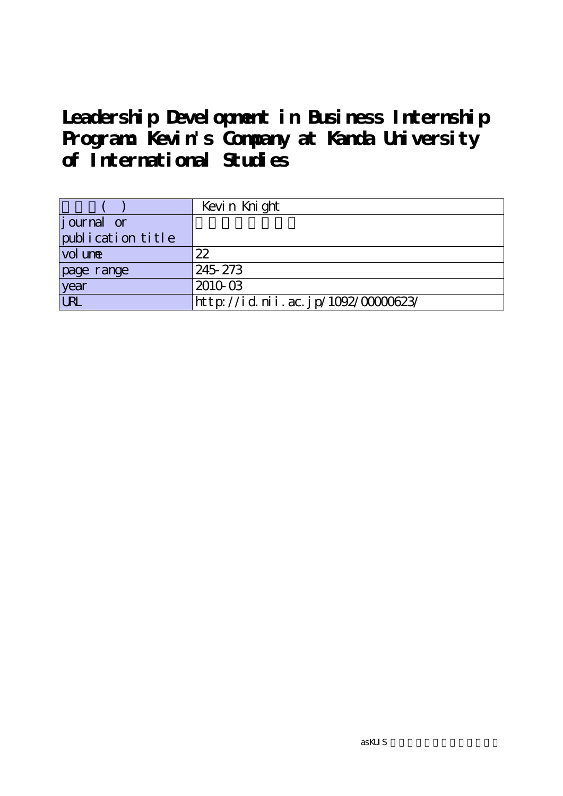|                   | Kevin Knight                      |
|-------------------|-----------------------------------|
| journal or        |                                   |
| publication title |                                   |
| vol une           | 22                                |
| page range        | 245-273                           |
| year              | 2010-03                           |
| URL               | http://id.nii.ac.jp/1092/0000623/ |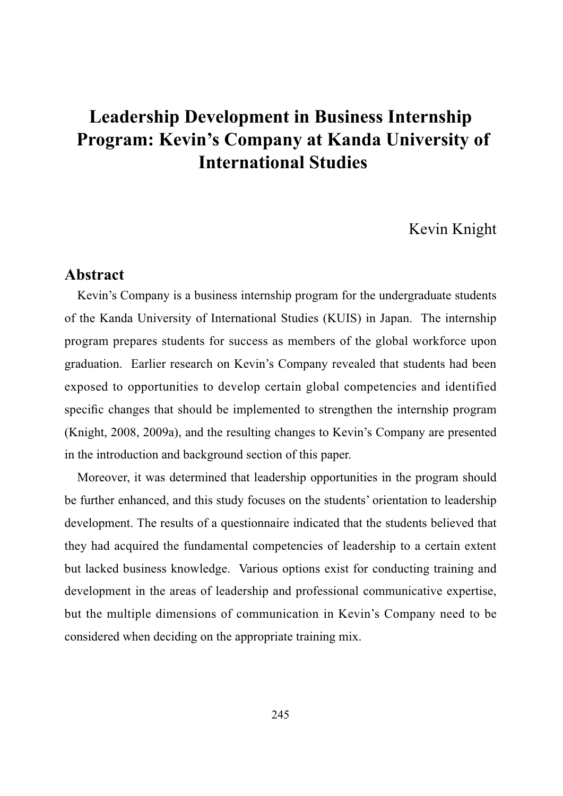# Kevin Knight

# **Abstract**

Kevin's Company is a business internship program for the undergraduate students of the Kanda University of International Studies (KUIS) in Japan. The internship program prepares students for success as members of the global workforce upon graduation. Earlier research on Kevin's Company revealed that students had been exposed to opportunities to develop certain global competencies and identified specific changes that should be implemented to strengthen the internship program (Knight, 2008, 2009a), and the resulting changes to Kevin's Company are presented in the introduction and background section of this paper.

Moreover, it was determined that leadership opportunities in the program should be further enhanced, and this study focuses on the students' orientation to leadership development. The results of a questionnaire indicated that the students believed that they had acquired the fundamental competencies of leadership to a certain extent but lacked business knowledge. Various options exist for conducting training and development in the areas of leadership and professional communicative expertise, but the multiple dimensions of communication in Kevin's Company need to be considered when deciding on the appropriate training mix.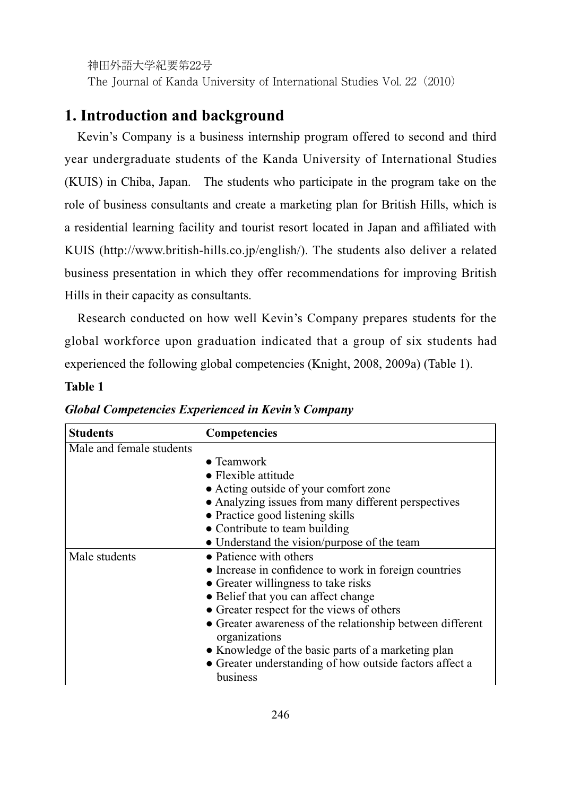The Journal of Kanda University of International Studies Vol. 22(2010)

# **1. Introduction and background**

Kevin's Company is a business internship program offered to second and third year undergraduate students of the Kanda University of International Studies (KUIS) in Chiba, Japan. The students who participate in the program take on the role of business consultants and create a marketing plan for British Hills, which is a residential learning facility and tourist resort located in Japan and affiliated with KUIS (http://www.british-hills.co.jp/english/). The students also deliver a related business presentation in which they offer recommendations for improving British Hills in their capacity as consultants.

Research conducted on how well Kevin's Company prepares students for the global workforce upon graduation indicated that a group of six students had experienced the following global competencies (Knight, 2008, 2009a) (Table 1).

#### **Table 1**

| <b>Students</b>          | Competencies                                                               |
|--------------------------|----------------------------------------------------------------------------|
| Male and female students |                                                                            |
|                          | $\bullet$ Teamwork                                                         |
|                          | $\bullet$ Flexible attitude                                                |
|                          | • Acting outside of your comfort zone                                      |
|                          | • Analyzing issues from many different perspectives                        |
|                          | • Practice good listening skills                                           |
|                          | • Contribute to team building                                              |
|                          | • Understand the vision/purpose of the team                                |
| Male students            | • Patience with others                                                     |
|                          | • Increase in confidence to work in foreign countries                      |
|                          | • Greater willingness to take risks                                        |
|                          | • Belief that you can affect change                                        |
|                          | • Greater respect for the views of others                                  |
|                          | • Greater awareness of the relationship between different<br>organizations |
|                          | • Knowledge of the basic parts of a marketing plan                         |
|                          | • Greater understanding of how outside factors affect a<br>business        |

*Global Competencies Experienced in Kevin's Company*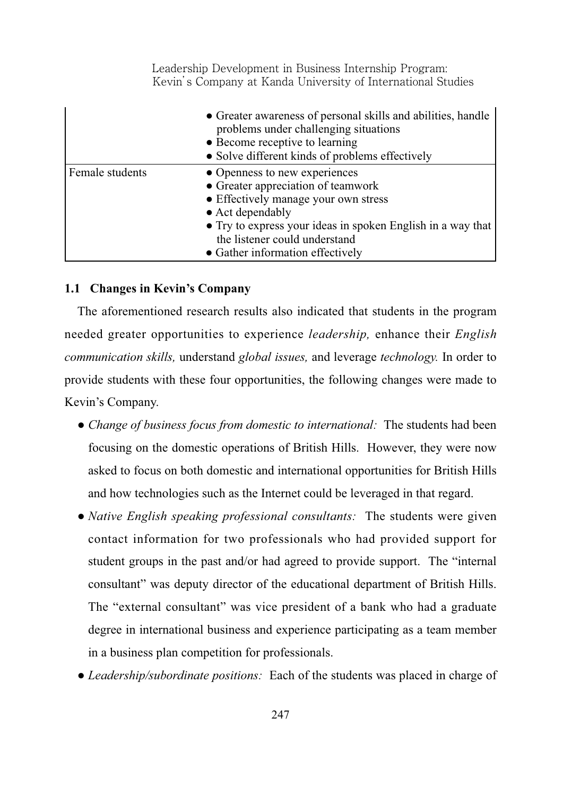|                 | • Greater awareness of personal skills and abilities, handle<br>problems under challenging situations<br>• Become receptive to learning<br>• Solve different kinds of problems effectively                                                                                  |
|-----------------|-----------------------------------------------------------------------------------------------------------------------------------------------------------------------------------------------------------------------------------------------------------------------------|
| Female students | • Openness to new experiences<br>• Greater appreciation of teamwork<br>• Effectively manage your own stress<br>$\bullet$ Act dependably<br>• Try to express your ideas in spoken English in a way that<br>the listener could understand<br>• Gather information effectively |

#### **1.1 Changes in Kevin's Company**

The aforementioned research results also indicated that students in the program needed greater opportunities to experience *leadership,* enhance their *English communication skills,* understand *global issues,* and leverage *technology.* In order to provide students with these four opportunities, the following changes were made to Kevin's Company.

- *Change of business focus from domestic to international:* The students had been focusing on the domestic operations of British Hills. However, they were now asked to focus on both domestic and international opportunities for British Hills and how technologies such as the Internet could be leveraged in that regard.
- *Native English speaking professional consultants:* The students were given contact information for two professionals who had provided support for student groups in the past and/or had agreed to provide support. The "internal consultant" was deputy director of the educational department of British Hills. The "external consultant" was vice president of a bank who had a graduate degree in international business and experience participating as a team member in a business plan competition for professionals.
- *Leadership/subordinate positions:* Each of the students was placed in charge of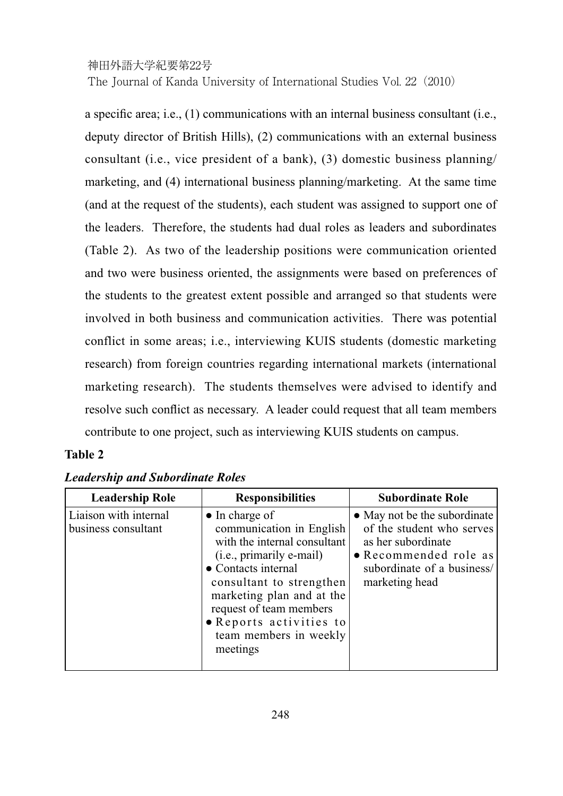### 神田外語大学紀要第22号 The Journal of Kanda University of International Studies Vol. 22(2010)

a specific area; i.e.,  $(1)$  communications with an internal business consultant (i.e., deputy director of British Hills), (2) communications with an external business consultant (i.e., vice president of a bank), (3) domestic business planning/ marketing, and (4) international business planning/marketing. At the same time (and at the request of the students), each student was assigned to support one of the leaders. Therefore, the students had dual roles as leaders and subordinates (Table 2). As two of the leadership positions were communication oriented and two were business oriented, the assignments were based on preferences of the students to the greatest extent possible and arranged so that students were involved in both business and communication activities. There was potential conflict in some areas; i.e., interviewing KUIS students (domestic marketing research) from foreign countries regarding international markets (international marketing research). The students themselves were advised to identify and resolve such conflict as necessary. A leader could request that all team members contribute to one project, such as interviewing KUIS students on campus.

# **Table 2**

| <b>Leadership Role</b>                       | <b>Responsibilities</b>                                                                                                                                                                                                                                                                    | <b>Subordinate Role</b>                                                                                                                                  |
|----------------------------------------------|--------------------------------------------------------------------------------------------------------------------------------------------------------------------------------------------------------------------------------------------------------------------------------------------|----------------------------------------------------------------------------------------------------------------------------------------------------------|
| Liaison with internal<br>business consultant | $\bullet$ In charge of<br>communication in English<br>with the internal consultant<br>(i.e., primarily e-mail)<br>• Contacts internal<br>consultant to strengthen<br>marketing plan and at the<br>request of team members<br>• Reports activities to<br>team members in weekly<br>meetings | • May not be the subordinate<br>of the student who serves<br>as her subordinate<br>• Recommended role as<br>subordinate of a business/<br>marketing head |

### *Leadership and Subordinate Roles*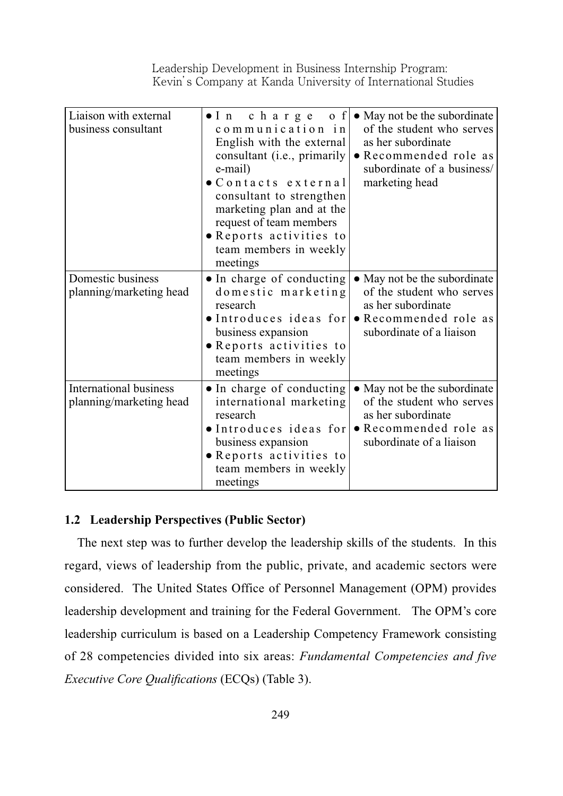| Liaison with external<br>business consultant             | charge<br>$o \mid f$<br>$\bullet$ In<br>communication in<br>English with the external<br>consultant ( <i>i.e.</i> , primarily<br>e-mail)<br>$\bullet$ Contacts external<br>consultant to strengthen<br>marketing plan and at the<br>request of team members<br>• Reports activities to<br>team members in weekly<br>meetings | • May not be the subordinate<br>of the student who serves<br>as her subordinate<br>• Recommended role as<br>subordinate of a business/<br>marketing head    |
|----------------------------------------------------------|------------------------------------------------------------------------------------------------------------------------------------------------------------------------------------------------------------------------------------------------------------------------------------------------------------------------------|-------------------------------------------------------------------------------------------------------------------------------------------------------------|
| Domestic business<br>planning/marketing head             | • In charge of conducting<br>domestic marketing<br>research<br>business expansion<br>• Reports activities to<br>team members in weekly<br>meetings                                                                                                                                                                           | • May not be the subordinate<br>of the student who serves<br>as her subordinate<br>• Introduces ideas for • Recommended role as<br>subordinate of a liaison |
| <b>International business</b><br>planning/marketing head | · In charge of conducting<br>international marketing<br>research<br>• Introduces ideas for<br>business expansion<br>• Reports activities to<br>team members in weekly<br>meetings                                                                                                                                            | • May not be the subordinate<br>of the student who serves<br>as her subordinate<br>• Recommended role as<br>subordinate of a liaison                        |

#### **1.2 Leadership Perspectives (Public Sector)**

The next step was to further develop the leadership skills of the students. In this regard, views of leadership from the public, private, and academic sectors were considered. The United States Office of Personnel Management (OPM) provides leadership development and training for the Federal Government. The OPM's core leadership curriculum is based on a Leadership Competency Framework consisting of 28 competencies divided into six areas: *Fundamental Competencies and five Executive Core Qualifications (ECQs) (Table 3).*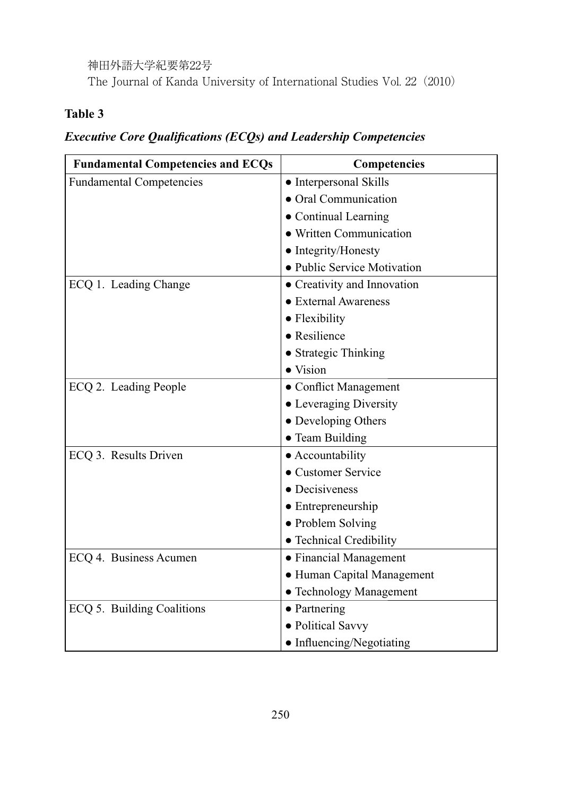神田外語大学紀要第22号 The Journal of Kanda University of International Studies Vol. 22(2010)

# **Table 3**

# *Executive Core Qualifications (ECQs) and Leadership Competencies*

| <b>Fundamental Competencies and ECQs</b> | <b>Competencies</b>         |
|------------------------------------------|-----------------------------|
| <b>Fundamental Competencies</b>          | • Interpersonal Skills      |
|                                          | • Oral Communication        |
|                                          | • Continual Learning        |
|                                          | • Written Communication     |
|                                          | • Integrity/Honesty         |
|                                          | • Public Service Motivation |
| ECQ 1. Leading Change                    | • Creativity and Innovation |
|                                          | • External Awareness        |
|                                          | • Flexibility               |
|                                          | • Resilience                |
|                                          | • Strategic Thinking        |
|                                          | $\bullet$ Vision            |
| ECQ 2. Leading People                    | • Conflict Management       |
|                                          | • Leveraging Diversity      |
|                                          | • Developing Others         |
|                                          | • Team Building             |
| ECQ 3. Results Driven                    | • Accountability            |
|                                          | • Customer Service          |
|                                          | • Decisiveness              |
|                                          | $\bullet$ Entrepreneurship  |
|                                          | • Problem Solving           |
|                                          | • Technical Credibility     |
| ECQ 4. Business Acumen                   | • Financial Management      |
|                                          | • Human Capital Management  |
|                                          | • Technology Management     |
| ECQ 5. Building Coalitions               | $\bullet$ Partnering        |
|                                          | • Political Savvy           |
|                                          | • Influencing/Negotiating   |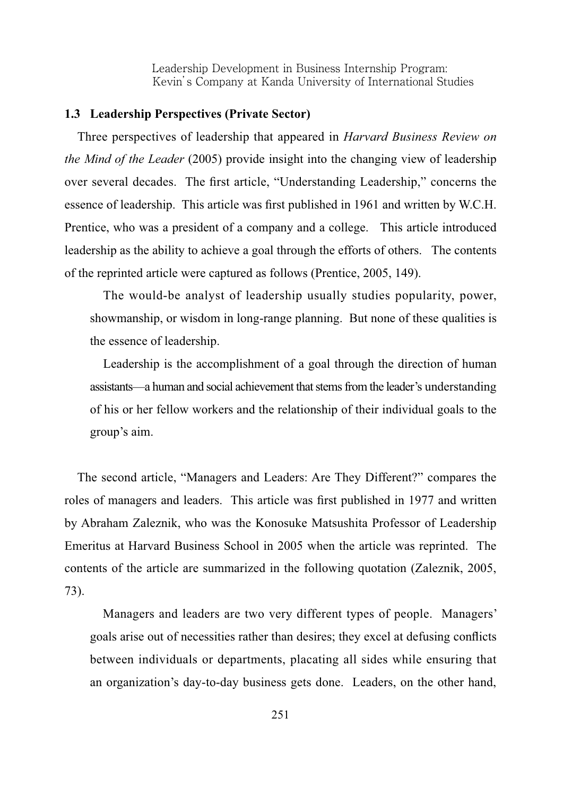#### **1.3 Leadership Perspectives (Private Sector)**

Three perspectives of leadership that appeared in *Harvard Business Review on the Mind of the Leader* (2005) provide insight into the changing view of leadership over several decades. The first article, "Understanding Leadership," concerns the essence of leadership. This article was first published in 1961 and written by W.C.H. Prentice, who was a president of a company and a college. This article introduced leadership as the ability to achieve a goal through the efforts of others. The contents of the reprinted article were captured as follows (Prentice, 2005, 149).

 The would-be analyst of leadership usually studies popularity, power, showmanship, or wisdom in long-range planning. But none of these qualities is the essence of leadership.

 Leadership is the accomplishment of a goal through the direction of human assistants—a human and social achievement that stems from the leader's understanding of his or her fellow workers and the relationship of their individual goals to the group's aim.

The second article, "Managers and Leaders: Are They Different?" compares the roles of managers and leaders. This article was first published in 1977 and written by Abraham Zaleznik, who was the Konosuke Matsushita Professor of Leadership Emeritus at Harvard Business School in 2005 when the article was reprinted. The contents of the article are summarized in the following quotation (Zaleznik, 2005, 73).

 Managers and leaders are two very different types of people. Managers' goals arise out of necessities rather than desires; they excel at defusing conflicts between individuals or departments, placating all sides while ensuring that an organization's day-to-day business gets done. Leaders, on the other hand,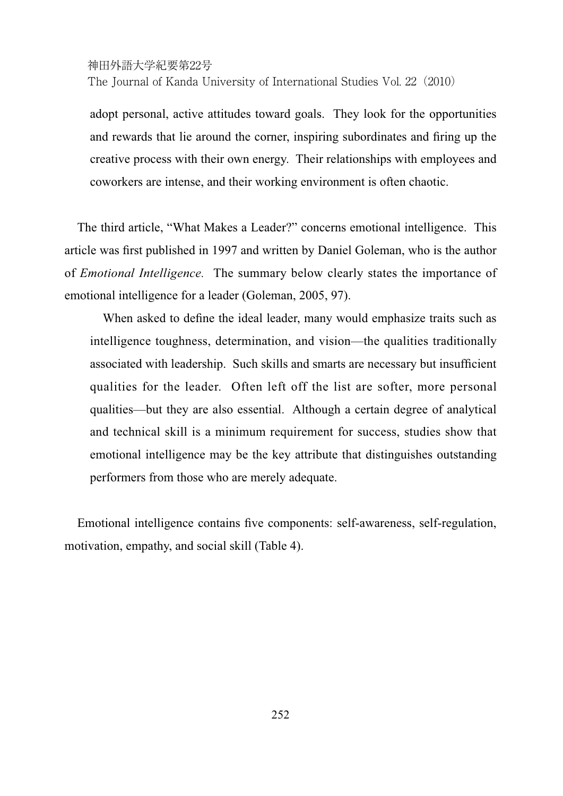The Journal of Kanda University of International Studies Vol. 22 (2010)

adopt personal, active attitudes toward goals. They look for the opportunities and rewards that lie around the corner, inspiring subordinates and firing up the creative process with their own energy. Their relationships with employees and coworkers are intense, and their working environment is often chaotic.

The third article, "What Makes a Leader?" concerns emotional intelligence. This article was first published in 1997 and written by Daniel Goleman, who is the author of *Emotional Intelligence.* The summary below clearly states the importance of emotional intelligence for a leader (Goleman, 2005, 97).

When asked to define the ideal leader, many would emphasize traits such as intelligence toughness, determination, and vision—the qualities traditionally associated with leadership. Such skills and smarts are necessary but insufficient qualities for the leader. Often left off the list are softer, more personal qualities—but they are also essential. Although a certain degree of analytical and technical skill is a minimum requirement for success, studies show that emotional intelligence may be the key attribute that distinguishes outstanding performers from those who are merely adequate.

Emotional intelligence contains five components: self-awareness, self-regulation, motivation, empathy, and social skill (Table 4).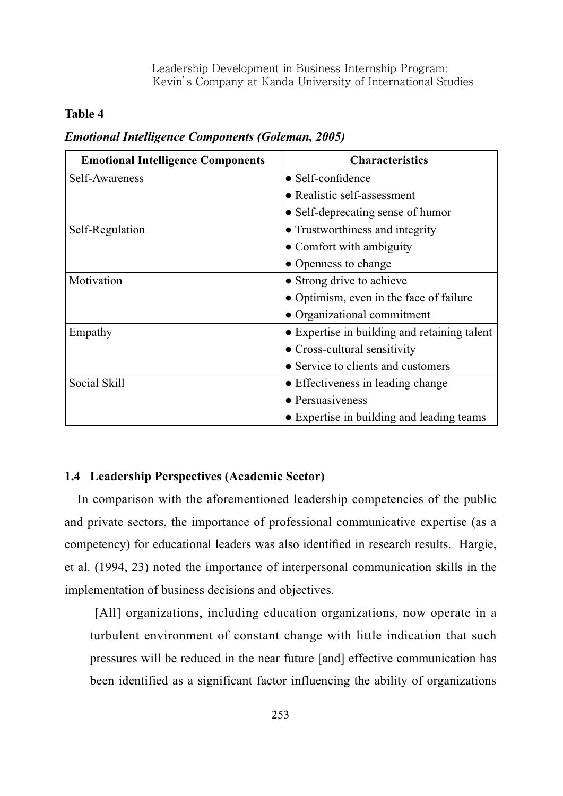### **Table 4**

| <b>Emotional Intelligence Components</b> | <b>Characteristics</b>                       |
|------------------------------------------|----------------------------------------------|
| Self-Awareness                           | $\bullet$ Self-confidence                    |
|                                          | • Realistic self-assessment                  |
|                                          | • Self-deprecating sense of humor            |
| Self-Regulation                          | • Trustworthiness and integrity              |
|                                          | • Comfort with ambiguity                     |
|                                          | • Openness to change                         |
| Motivation                               | • Strong drive to achieve                    |
|                                          | • Optimism, even in the face of failure      |
|                                          | • Organizational commitment                  |
| Empathy                                  | • Expertise in building and retaining talent |
|                                          | • Cross-cultural sensitivity                 |
|                                          | • Service to clients and customers           |
| Social Skill                             | • Effectiveness in leading change            |
|                                          | • Persuasiveness                             |
|                                          | • Expertise in building and leading teams    |

### *Emotional Intelligence Components (Goleman, 2005)*

### **1.4 Leadership Perspectives (Academic Sector)**

In comparison with the aforementioned leadership competencies of the public and private sectors, the importance of professional communicative expertise (as a competency) for educational leaders was also identified in research results. Hargie, et al. (1994, 23) noted the importance of interpersonal communication skills in the implementation of business decisions and objectives.

[All] organizations, including education organizations, now operate in a turbulent environment of constant change with little indication that such pressures will be reduced in the near future [and] effective communication has been identified as a significant factor influencing the ability of organizations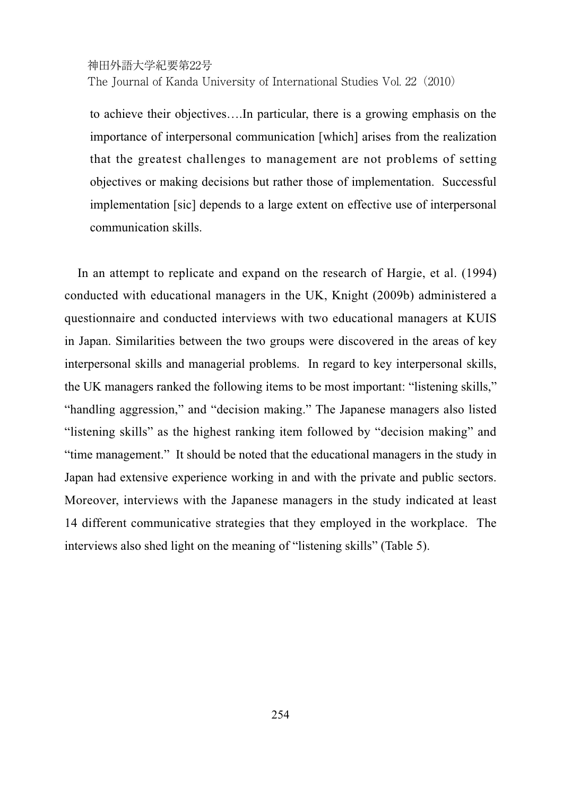The Journal of Kanda University of International Studies Vol. 22 (2010)

to achieve their objectives….In particular, there is a growing emphasis on the importance of interpersonal communication [which] arises from the realization that the greatest challenges to management are not problems of setting objectives or making decisions but rather those of implementation. Successful implementation [sic] depends to a large extent on effective use of interpersonal communication skills.

In an attempt to replicate and expand on the research of Hargie, et al. (1994) conducted with educational managers in the UK, Knight (2009b) administered a questionnaire and conducted interviews with two educational managers at KUIS in Japan. Similarities between the two groups were discovered in the areas of key interpersonal skills and managerial problems. In regard to key interpersonal skills, the UK managers ranked the following items to be most important: "listening skills," "handling aggression," and "decision making." The Japanese managers also listed "listening skills" as the highest ranking item followed by "decision making" and "time management." It should be noted that the educational managers in the study in Japan had extensive experience working in and with the private and public sectors. Moreover, interviews with the Japanese managers in the study indicated at least 14 different communicative strategies that they employed in the workplace. The interviews also shed light on the meaning of "listening skills" (Table 5).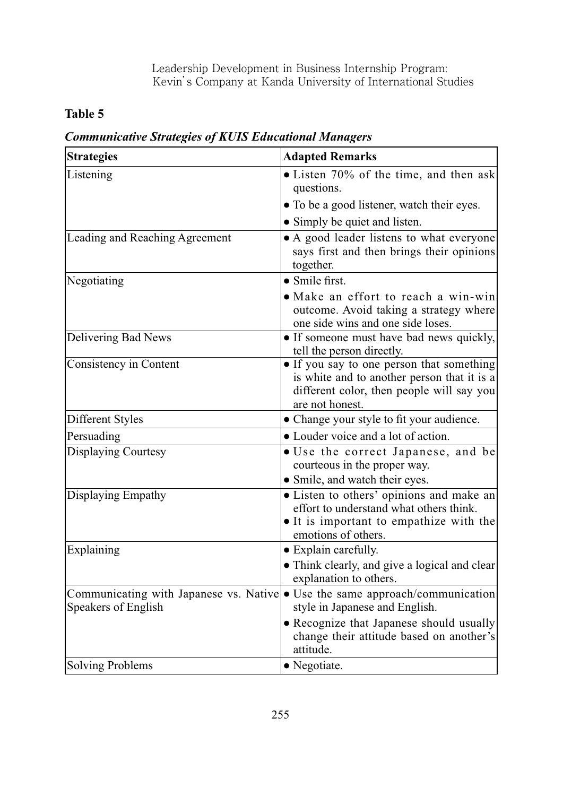# **Table 5**

| <b>Strategies</b>              | <b>Adapted Remarks</b>                                                                                                                                                                  |
|--------------------------------|-----------------------------------------------------------------------------------------------------------------------------------------------------------------------------------------|
| Listening                      | • Listen 70% of the time, and then ask<br>questions.                                                                                                                                    |
|                                | • To be a good listener, watch their eyes.                                                                                                                                              |
|                                | • Simply be quiet and listen.                                                                                                                                                           |
| Leading and Reaching Agreement | • A good leader listens to what everyone<br>says first and then brings their opinions<br>together.                                                                                      |
| Negotiating                    | $\bullet$ Smile first.                                                                                                                                                                  |
|                                | • Make an effort to reach a win-win<br>outcome. Avoid taking a strategy where<br>one side wins and one side loses.                                                                      |
| Delivering Bad News            | • If someone must have bad news quickly,<br>tell the person directly.                                                                                                                   |
| Consistency in Content         | • If you say to one person that something<br>is white and to another person that it is a<br>different color, then people will say you<br>are not honest.                                |
| Different Styles               | • Change your style to fit your audience.                                                                                                                                               |
| Persuading                     | • Louder voice and a lot of action.                                                                                                                                                     |
| <b>Displaying Courtesy</b>     | · Use the correct Japanese, and be<br>courteous in the proper way.                                                                                                                      |
| Displaying Empathy             | • Smile, and watch their eyes.<br>• Listen to others' opinions and make an<br>effort to understand what others think.<br>• It is important to empathize with the<br>emotions of others. |
| Explaining                     | • Explain carefully.<br>• Think clearly, and give a logical and clear<br>explanation to others.                                                                                         |
| Speakers of English            | Communicating with Japanese vs. Native • Use the same approach/communication<br>style in Japanese and English.                                                                          |
|                                | • Recognize that Japanese should usually<br>change their attitude based on another's<br>attitude.                                                                                       |
| <b>Solving Problems</b>        | • Negotiate.                                                                                                                                                                            |

*Communicative Strategies of KUIS Educational Managers*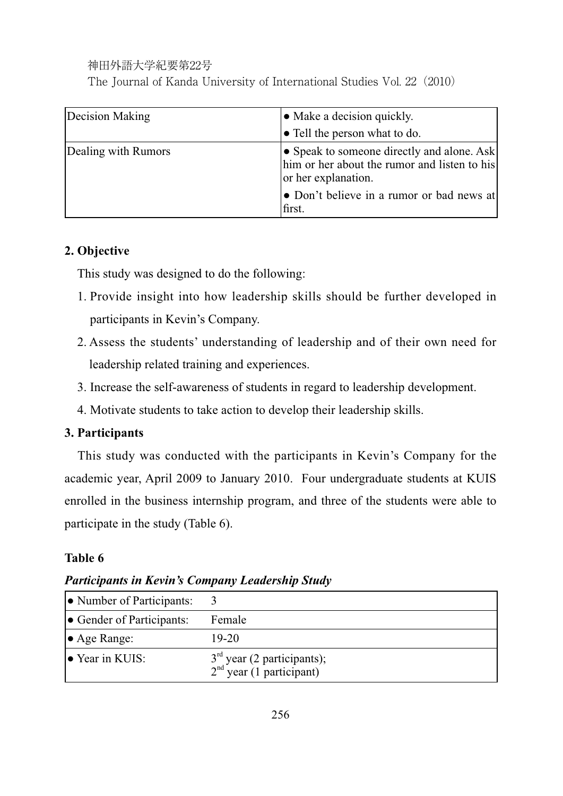神田外語大学紀要第22号 The Journal of Kanda University of International Studies Vol. 22(2010)

| Decision Making     | $\bullet$ Make a decision quickly.                                                                                                                                       |
|---------------------|--------------------------------------------------------------------------------------------------------------------------------------------------------------------------|
|                     | • Tell the person what to do.                                                                                                                                            |
| Dealing with Rumors | • Speak to someone directly and alone. Ask<br>him or her about the rumor and listen to his<br>or her explanation.<br>• Don't believe in a rumor or bad news at<br>first. |

# **2. Objective**

This study was designed to do the following:

- 1. Provide insight into how leadership skills should be further developed in participants in Kevin's Company.
- 2. Assess the students' understanding of leadership and of their own need for leadership related training and experiences.
- 3. Increase the self-awareness of students in regard to leadership development.
- 4. Motivate students to take action to develop their leadership skills.

# **3. Participants**

This study was conducted with the participants in Kevin's Company for the academic year, April 2009 to January 2010. Four undergraduate students at KUIS enrolled in the business internship program, and three of the students were able to participate in the study (Table 6).

# **Table 6**

*Participants in Kevin's Company Leadership Study*

| • Number of Participants: |                                                            |
|---------------------------|------------------------------------------------------------|
| • Gender of Participants: | Female                                                     |
| $\bullet$ Age Range:      | 19-20                                                      |
| $\bullet$ Year in KUIS:   | $3rd$ year (2 participants);<br>$2nd$ year (1 participant) |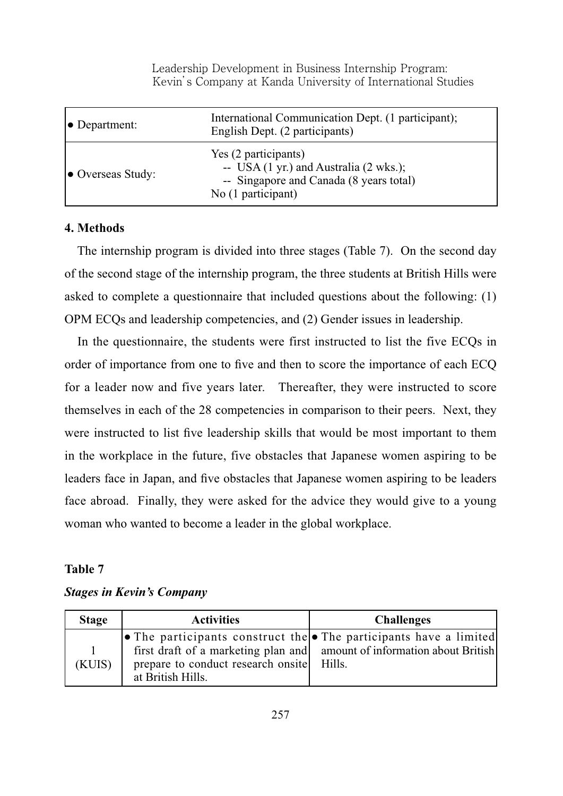| $\bullet$ Department:     | International Communication Dept. (1 participant);<br>English Dept. (2 participants)                                                                 |
|---------------------------|------------------------------------------------------------------------------------------------------------------------------------------------------|
| $\bullet$ Overseas Study: | Yes (2 participants)<br>-- USA $(1 \text{ yr.})$ and Australia $(2 \text{ wks.})$ ;<br>-- Singapore and Canada (8 years total)<br>No (1 participant) |

#### **4. Methods**

The internship program is divided into three stages (Table 7). On the second day of the second stage of the internship program, the three students at British Hills were asked to complete a questionnaire that included questions about the following: (1) OPM ECQs and leadership competencies, and (2) Gender issues in leadership.

In the questionnaire, the students were first instructed to list the five ECQs in order of importance from one to five and then to score the importance of each ECQ for a leader now and five years later. Thereafter, they were instructed to score themselves in each of the 28 competencies in comparison to their peers. Next, they were instructed to list five leadership skills that would be most important to them in the workplace in the future, five obstacles that Japanese women aspiring to be leaders face in Japan, and five obstacles that Japanese women aspiring to be leaders face abroad. Finally, they were asked for the advice they would give to a young woman who wanted to become a leader in the global workplace.

#### **Table 7**

#### *Stages in Kevin's Company*

| <b>Stage</b> | <b>Activities</b>                                       | <b>Challenges</b>                                                                                                                                               |
|--------------|---------------------------------------------------------|-----------------------------------------------------------------------------------------------------------------------------------------------------------------|
| (KUIS)       | prepare to conduct research onsite<br>at British Hills. | • The participants construct the $\bullet$ The participants have a limited<br>first draft of a marketing plan and amount of information about British<br>Hills. |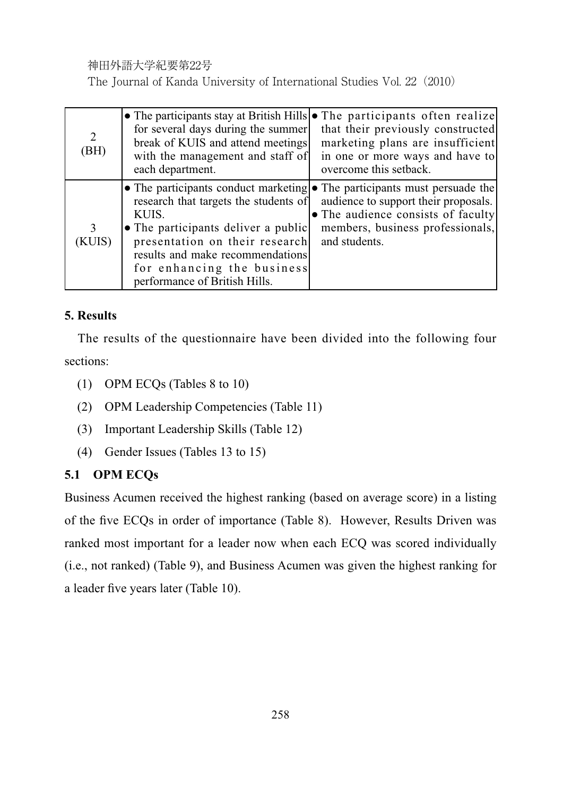The Journal of Kanda University of International Studies Vol. 22(2010)

| 2<br>(BH)   | for several days during the summer<br>break of KUIS and attend meetings<br>with the management and staff of<br>each department.                                                                                            | • The participants stay at British Hills • The participants often realize<br>that their previously constructed<br>marketing plans are insufficient<br>in one or more ways and have to<br>overcome this setback. |
|-------------|----------------------------------------------------------------------------------------------------------------------------------------------------------------------------------------------------------------------------|-----------------------------------------------------------------------------------------------------------------------------------------------------------------------------------------------------------------|
| 3<br>(KUIS) | research that targets the students of<br>KUIS.<br>• The participants deliver a public<br>presentation on their research<br>results and make recommendations<br>for enhancing the business<br>performance of British Hills. | • The participants conduct marketing • The participants must persuade the<br>audience to support their proposals.<br>• The audience consists of faculty<br>members, business professionals,<br>and students.    |

# **5. Results**

The results of the questionnaire have been divided into the following four sections:

- (1) OPM ECQs (Tables  $8$  to  $10$ )
- (2) OPM Leadership Competencies (Table 11)
- (3) Important Leadership Skills (Table 12)
- (4) Gender Issues (Tables 13 to 15)

# **5.1 OPM ECQs**

Business Acumen received the highest ranking (based on average score) in a listing of the five ECQs in order of importance (Table 8). However, Results Driven was ranked most important for a leader now when each ECQ was scored individually (i.e., not ranked) (Table 9), and Business Acumen was given the highest ranking for a leader five years later (Table 10).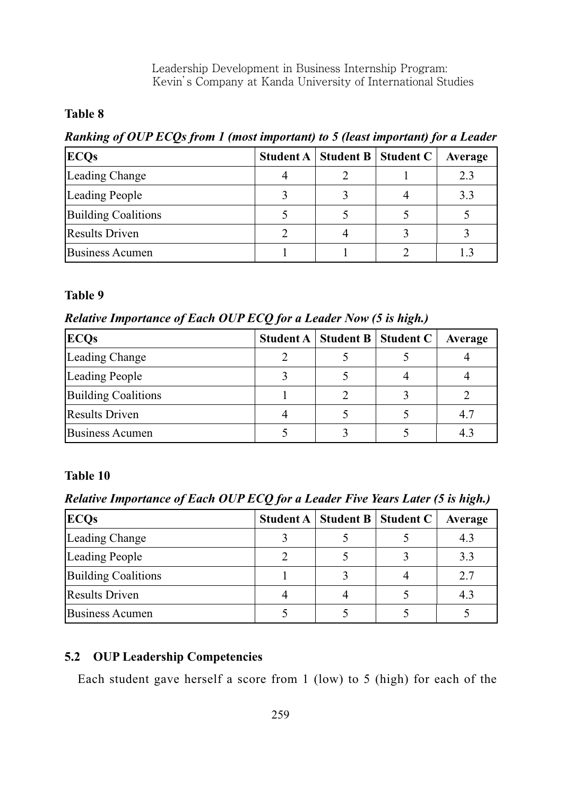### **Table 8**

*Ranking of OUP ECOs from 1 (most important) to 5 (least important) for a Leader* 

| <b>ECQs</b>                | Student A | Student B   Student C | Average |
|----------------------------|-----------|-----------------------|---------|
| Leading Change             |           |                       | 2.3     |
| <b>Leading People</b>      |           |                       | 3.3     |
| <b>Building Coalitions</b> |           |                       |         |
| <b>Results Driven</b>      |           |                       |         |
| <b>Business Acumen</b>     |           |                       |         |

#### **Table 9**

*Relative Importance of Each OUP ECQ for a Leader Now (5 is high.)* 

| <b>ECQs</b>                | <b>Student A   Student B   Student C</b> | Average |
|----------------------------|------------------------------------------|---------|
| Leading Change             |                                          |         |
| <b>Leading People</b>      |                                          |         |
| <b>Building Coalitions</b> |                                          |         |
| <b>Results Driven</b>      |                                          | 4.7     |
| <b>Business Acumen</b>     |                                          |         |

### **Table 10**

*Relative Importance of Each OUP ECQ for a Leader Five Years Later (5 is high.)* 

| <b>ECQs</b>                | Student A   Student B   Student C | Average |
|----------------------------|-----------------------------------|---------|
| Leading Change             |                                   | 4.3     |
| <b>Leading People</b>      |                                   | 3.3     |
| <b>Building Coalitions</b> |                                   | 2.7     |
| <b>Results Driven</b>      |                                   | 4.3     |
| <b>Business Acumen</b>     |                                   |         |

# **5.2 OUP Leadership Competencies**

Each student gave herself a score from 1 (low) to 5 (high) for each of the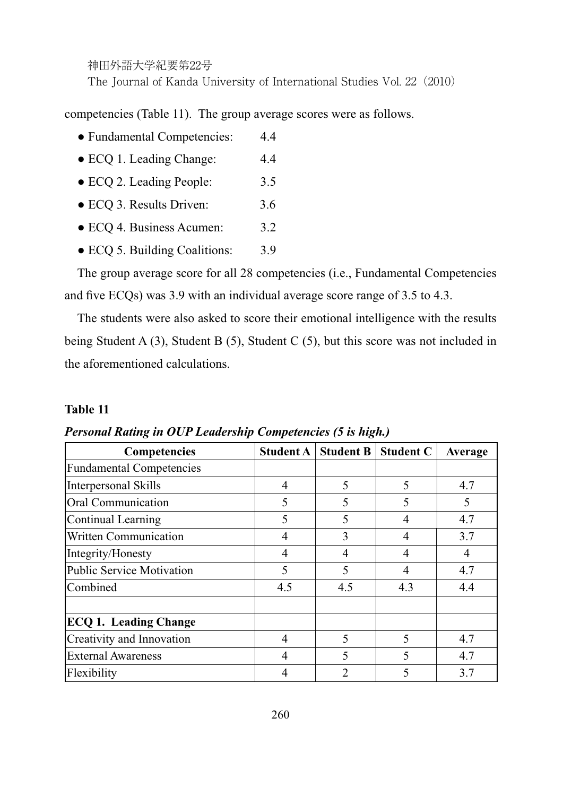神田外語大学紀要第22号 The Journal of Kanda University of International Studies Vol. 22(2010)

competencies (Table 11). The group average scores were as follows.

- Fundamental Competencies: 4.4
- ECQ 1. Leading Change: 4.4
- ECQ 2. Leading People: 3.5
- ECQ 3. Results Driven: 3.6
- ECQ 4. Business Acumen: 3.2
- ECQ 5. Building Coalitions: 3.9

The group average score for all 28 competencies (i.e., Fundamental Competencies and five ECQs) was 3.9 with an individual average score range of  $3.5$  to  $4.3$ .

The students were also asked to score their emotional intelligence with the results being Student A  $(3)$ , Student B  $(5)$ , Student C  $(5)$ , but this score was not included in the aforementioned calculations.

### **Table 11**

| <b>Competencies</b>              | <b>Student A</b> | <b>Student B</b>         | <b>Student C</b> | Average |
|----------------------------------|------------------|--------------------------|------------------|---------|
| <b>Fundamental Competencies</b>  |                  |                          |                  |         |
| <b>Interpersonal Skills</b>      | 4                | 5                        | 5                | 4.7     |
| <b>Oral Communication</b>        | 5                | 5                        |                  | 5       |
| <b>Continual Learning</b>        | 5                | 5                        | 4                | 4.7     |
| <b>Written Communication</b>     | 4                | 3                        | 4                | 3.7     |
| Integrity/Honesty                | 4                | 4                        |                  | 4       |
| <b>Public Service Motivation</b> | 5                | 5                        | 4                | 4.7     |
| Combined                         | 4.5              | 4.5                      | 4.3              | 4.4     |
| <b>ECQ 1. Leading Change</b>     |                  |                          |                  |         |
| Creativity and Innovation        | 4                | 5                        | 5                | 4.7     |
| <b>External Awareness</b>        | 4                | $\overline{\mathcal{L}}$ |                  | 4.7     |
| Flexibility                      |                  | $\overline{2}$           |                  | 3.7     |

*Personal Rating in OUP Leadership Competencies (5 is high.)*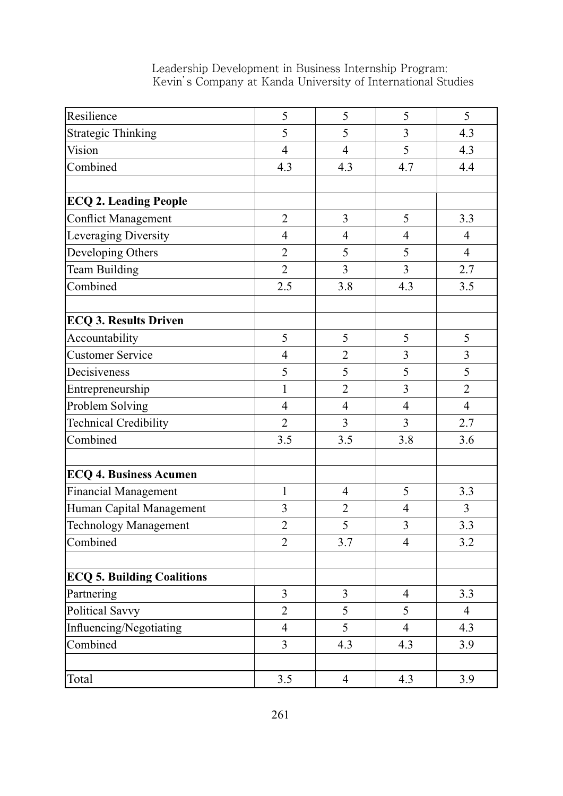| Resilience                        | 5              | 5              | 5              | 5              |
|-----------------------------------|----------------|----------------|----------------|----------------|
| <b>Strategic Thinking</b>         | 5              | 5              | 3              | 4.3            |
| Vision                            | $\overline{4}$ | $\overline{4}$ | 5              | 4.3            |
| Combined                          | 4.3            | 4.3            | 4.7            | 4.4            |
|                                   |                |                |                |                |
| <b>ECQ 2. Leading People</b>      |                |                |                |                |
| <b>Conflict Management</b>        | $\overline{2}$ | $\overline{3}$ | 5              | 3.3            |
| Leveraging Diversity              | $\overline{4}$ | $\overline{4}$ | $\overline{4}$ | $\overline{4}$ |
| Developing Others                 | $\overline{2}$ | 5              | 5              | $\overline{4}$ |
| Team Building                     | $\overline{2}$ | 3              | $\overline{3}$ | 2.7            |
| Combined                          | 2.5            | 3.8            | 4.3            | 3.5            |
| <b>ECQ 3. Results Driven</b>      |                |                |                |                |
| Accountability                    | 5              | 5              | 5              | 5              |
| <b>Customer Service</b>           | $\overline{4}$ | $\overline{2}$ | 3              | $\overline{3}$ |
| Decisiveness                      | 5              | 5              | 5              | 5              |
| Entrepreneurship                  | $\mathbf{1}$   | $\overline{2}$ | 3              | $\overline{2}$ |
| Problem Solving                   | $\overline{4}$ | $\overline{4}$ | $\overline{4}$ | $\overline{4}$ |
| <b>Technical Credibility</b>      | $\overline{2}$ | 3              | $\overline{3}$ | 2.7            |
| Combined                          | 3.5            | 3.5            | 3.8            | 3.6            |
| <b>ECQ 4. Business Acumen</b>     |                |                |                |                |
| <b>Financial Management</b>       | $\mathbf{1}$   | $\overline{4}$ | 5              | 3.3            |
| Human Capital Management          | $\overline{3}$ | $\overline{2}$ | $\overline{4}$ | $\overline{3}$ |
| <b>Technology Management</b>      | $\overline{2}$ | 5              | 3              | 3.3            |
| Combined                          | $\overline{2}$ | 3.7            | $\overline{4}$ | 3.2            |
| <b>ECQ 5. Building Coalitions</b> |                |                |                |                |
| Partnering                        | $\overline{3}$ | $\overline{3}$ | $\overline{4}$ | 3.3            |
| Political Savvy                   | $\overline{2}$ | 5              | 5              | $\overline{4}$ |
| Influencing/Negotiating           | $\overline{4}$ | 5              | $\overline{4}$ | 4.3            |
| Combined                          | $\overline{3}$ | 4.3            | 4.3            | 3.9            |
|                                   |                |                |                |                |
| Total                             | 3.5            | $\overline{4}$ | 4.3            | 3.9            |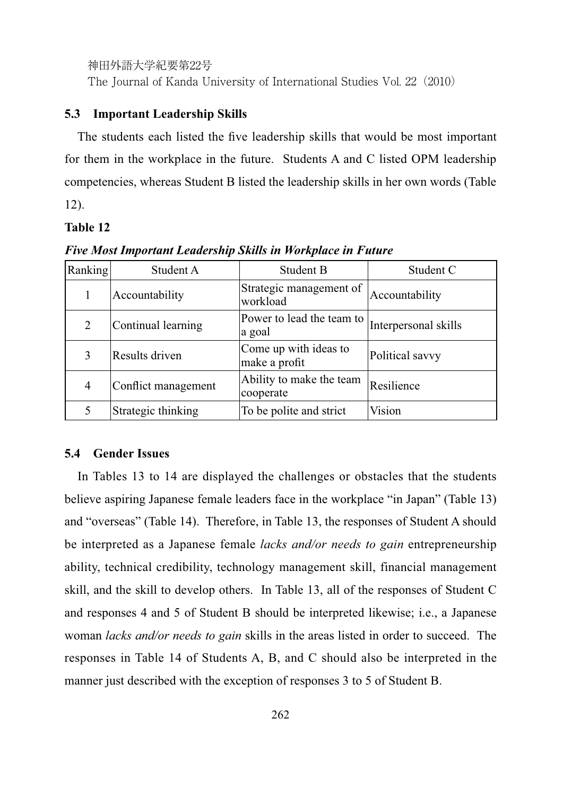The Journal of Kanda University of International Studies Vol. 22 (2010)

#### **5.3 Important Leadership Skills**

The students each listed the five leadership skills that would be most important for them in the workplace in the future. Students A and C listed OPM leadership competencies, whereas Student B listed the leadership skills in her own words (Table 12).

#### **Table 12**

| Ranking | Student A           | Student B                              | Student C            |
|---------|---------------------|----------------------------------------|----------------------|
|         | Accountability      | Strategic management of<br>workload    | Accountability       |
| 2       | Continual learning  | Power to lead the team to<br>a goal    | Interpersonal skills |
|         | Results driven      | Come up with ideas to<br>make a profit | Political savvy      |
| 4       | Conflict management | Ability to make the team<br>cooperate  | Resilience           |
|         | Strategic thinking  | To be polite and strict                | Vision               |

*Five Most Important Leadership Skills in Workplace in Future*

#### **5.4 Gender Issues**

In Tables 13 to 14 are displayed the challenges or obstacles that the students believe aspiring Japanese female leaders face in the workplace "in Japan" (Table 13) and "overseas" (Table 14). Therefore, in Table 13, the responses of Student A should be interpreted as a Japanese female *lacks and/or needs to gain* entrepreneurship ability, technical credibility, technology management skill, financial management skill, and the skill to develop others. In Table 13, all of the responses of Student C and responses 4 and 5 of Student B should be interpreted likewise; i.e., a Japanese woman *lacks and/or needs to gain* skills in the areas listed in order to succeed. The responses in Table 14 of Students A, B, and C should also be interpreted in the manner just described with the exception of responses 3 to 5 of Student B.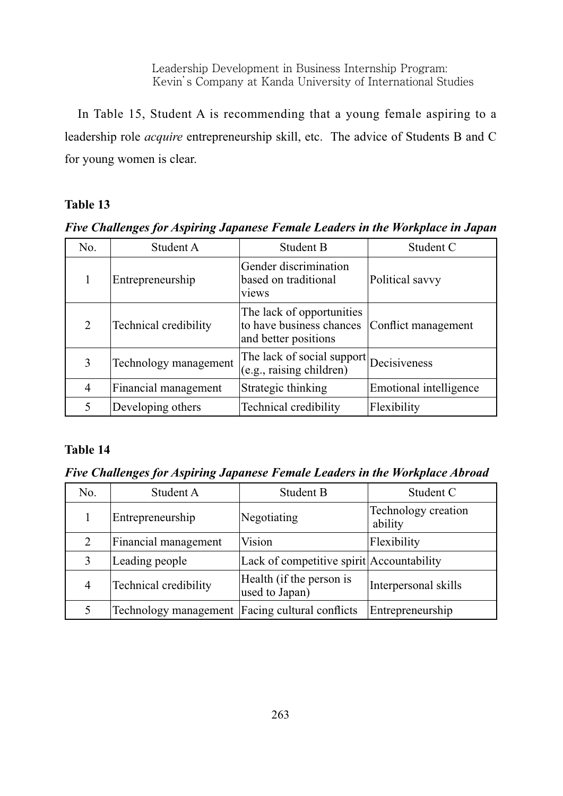In Table 15, Student A is recommending that a young female aspiring to a leadership role *acquire* entrepreneurship skill, etc. The advice of Students B and C for young women is clear.

# **Table 13**

*Five Challenges for Aspiring Japanese Female Leaders in the Workplace in Japan*

| No. | Student A             | Student B                                                                     | Student C              |
|-----|-----------------------|-------------------------------------------------------------------------------|------------------------|
|     | Entrepreneurship      | Gender discrimination<br>based on traditional<br>views                        | Political savvy        |
| 2   | Technical credibility | The lack of opportunities<br>to have business chances<br>and better positions | Conflict management    |
| 3   | Technology management | The lack of social support<br>(e.g., raising children)                        | Decisiveness           |
| 4   | Financial management  | Strategic thinking                                                            | Emotional intelligence |
| 5   | Developing others     | Technical credibility                                                         | Flexibility            |

# **Table 14**

*Five Challenges for Aspiring Japanese Female Leaders in the Workplace Abroad*

| No.            | Student A             | <b>Student B</b>                           | Student C                      |
|----------------|-----------------------|--------------------------------------------|--------------------------------|
|                | Entrepreneurship      | Negotiating                                | Technology creation<br>ability |
|                | Financial management  | <b>Vision</b>                              | Flexibility                    |
|                | Leading people        | Lack of competitive spirit Accountability  |                                |
| $\overline{4}$ | Technical credibility | Health (if the person is<br>used to Japan) | Interpersonal skills           |
|                | Technology management | Facing cultural conflicts                  | Entrepreneurship               |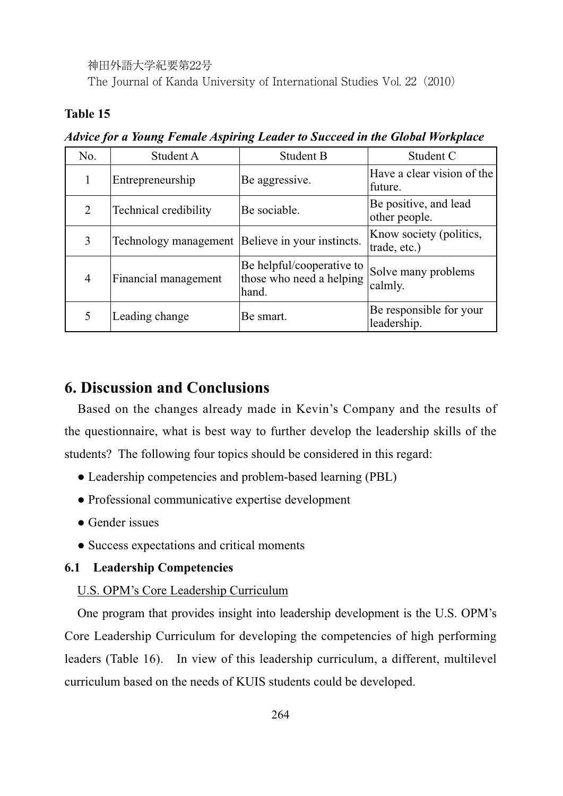The Journal of Kanda University of International Studies Vol. 22(2010)

### **Table 15**

| No.            | Student A             | <b>Student B</b>                                               | Student C                               |
|----------------|-----------------------|----------------------------------------------------------------|-----------------------------------------|
|                | Entrepreneurship      | Be aggressive.                                                 | Have a clear vision of the<br>future.   |
| $\overline{2}$ | Technical credibility | Be sociable.                                                   | Be positive, and lead<br>other people.  |
| $\overline{3}$ | Technology management | Believe in your instincts.                                     | Know society (politics,<br>trade, etc.) |
| $\overline{4}$ | Financial management  | Be helpful/cooperative to<br>those who need a helping<br>hand. | Solve many problems<br>calmly.          |
|                | Leading change        | Be smart.                                                      | Be responsible for your<br>leadership.  |

*Advice for a Young Female Aspiring Leader to Succeed in the Global Workplace*

# **6. Discussion and Conclusions**

Based on the changes already made in Kevin's Company and the results of the questionnaire, what is best way to further develop the leadership skills of the students? The following four topics should be considered in this regard:

- Leadership competencies and problem-based learning (PBL)
- Professional communicative expertise development
- Gender issues
- Success expectations and critical moments

#### **6.1 Leadership Competencies**

#### U.S. OPM's Core Leadership Curriculum

One program that provides insight into leadership development is the U.S. OPM's Core Leadership Curriculum for developing the competencies of high performing leaders (Table 16). In view of this leadership curriculum, a different, multilevel curriculum based on the needs of KUIS students could be developed.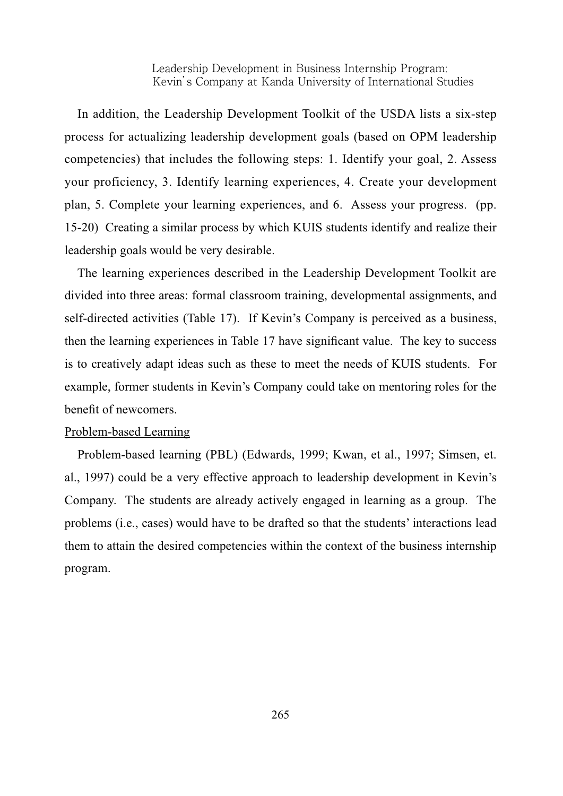In addition, the Leadership Development Toolkit of the USDA lists a six-step process for actualizing leadership development goals (based on OPM leadership competencies) that includes the following steps: 1. Identify your goal, 2. Assess your proficiency, 3. Identify learning experiences, 4. Create your development plan, 5. Complete your learning experiences, and 6. Assess your progress. (pp. 15-20) Creating a similar process by which KUIS students identify and realize their leadership goals would be very desirable.

The learning experiences described in the Leadership Development Toolkit are divided into three areas: formal classroom training, developmental assignments, and self-directed activities (Table 17). If Kevin's Company is perceived as a business, then the learning experiences in Table 17 have significant value. The key to success is to creatively adapt ideas such as these to meet the needs of KUIS students. For example, former students in Kevin's Company could take on mentoring roles for the benefit of newcomers.

#### Problem-based Learning

Problem-based learning (PBL) (Edwards, 1999; Kwan, et al., 1997; Simsen, et. al., 1997) could be a very effective approach to leadership development in Kevin's Company. The students are already actively engaged in learning as a group. The problems (i.e., cases) would have to be drafted so that the students' interactions lead them to attain the desired competencies within the context of the business internship program.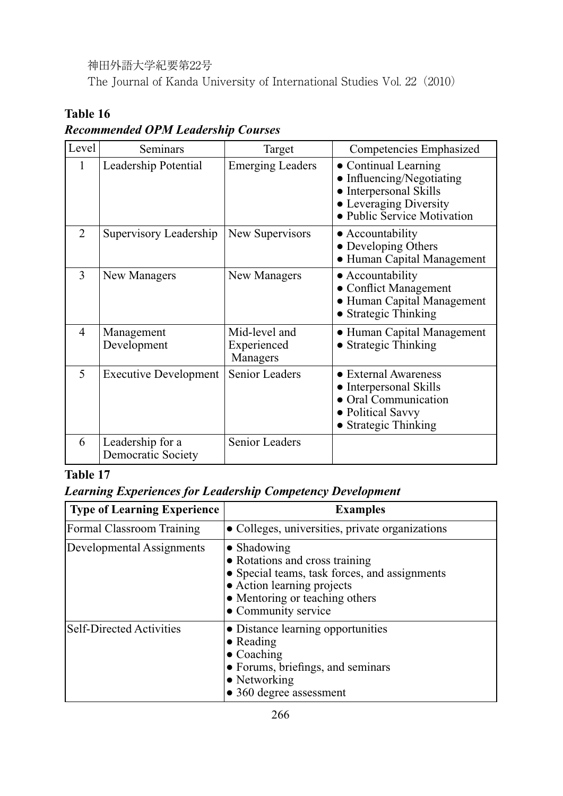The Journal of Kanda University of International Studies Vol. 22(2010)

# **Table 16**

# *Recommended OPM Leadership Courses*

| Level          | Seminars                               | Target                                   | Competencies Emphasized                                                                                                          |
|----------------|----------------------------------------|------------------------------------------|----------------------------------------------------------------------------------------------------------------------------------|
| $\mathbf{1}$   | Leadership Potential                   | <b>Emerging Leaders</b>                  | • Continual Learning<br>Influencing/Negotiating<br>Interpersonal Skills<br>• Leveraging Diversity<br>• Public Service Motivation |
| $\overline{2}$ | Supervisory Leadership                 | New Supervisors                          | • Accountability<br>• Developing Others<br>• Human Capital Management                                                            |
| 3              | New Managers                           | New Managers                             | • Accountability<br><b>Conflict Management</b><br>• Human Capital Management<br>• Strategic Thinking                             |
| $\overline{4}$ | Management<br>Development              | Mid-level and<br>Experienced<br>Managers | • Human Capital Management<br><b>Strategic Thinking</b>                                                                          |
| 5              | <b>Executive Development</b>           | <b>Senior Leaders</b>                    | • External Awareness<br>Interpersonal Skills<br>Oral Communication<br><b>Political Savvy</b><br>• Strategic Thinking             |
| 6              | Leadership for a<br>Democratic Society | <b>Senior Leaders</b>                    |                                                                                                                                  |

# **Table 17**

# *Learning Experiences for Leadership Competency Development*

| Type of Learning Experience      | <b>Examples</b>                                                                                                                                                                               |
|----------------------------------|-----------------------------------------------------------------------------------------------------------------------------------------------------------------------------------------------|
| <b>Formal Classroom Training</b> | • Colleges, universities, private organizations                                                                                                                                               |
| Developmental Assignments        | $\bullet$ Shadowing<br>• Rotations and cross training<br>• Special teams, task forces, and assignments<br>• Action learning projects<br>• Mentoring or teaching others<br>• Community service |
| <b>Self-Directed Activities</b>  | • Distance learning opportunities<br>$\bullet$ Reading<br>$\bullet$ Coaching<br>• Forums, briefings, and seminars<br>$\bullet$ Networking<br>• 360 degree assessment                          |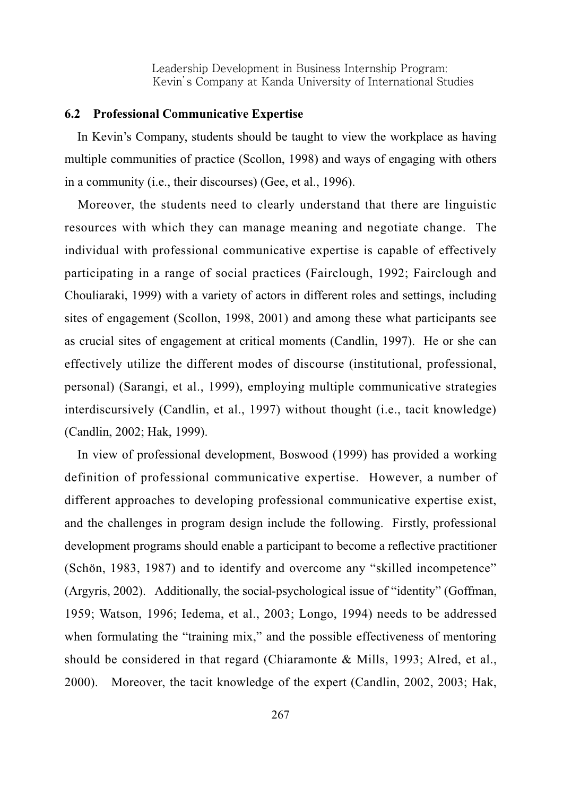#### **6.2 Professional Communicative Expertise**

In Kevin's Company, students should be taught to view the workplace as having multiple communities of practice (Scollon, 1998) and ways of engaging with others in a community (i.e., their discourses) (Gee, et al., 1996).

Moreover, the students need to clearly understand that there are linguistic resources with which they can manage meaning and negotiate change. The individual with professional communicative expertise is capable of effectively participating in a range of social practices (Fairclough, 1992; Fairclough and Chouliaraki, 1999) with a variety of actors in different roles and settings, including sites of engagement (Scollon, 1998, 2001) and among these what participants see as crucial sites of engagement at critical moments (Candlin, 1997). He or she can effectively utilize the different modes of discourse (institutional, professional, personal) (Sarangi, et al., 1999), employing multiple communicative strategies interdiscursively (Candlin, et al., 1997) without thought (i.e., tacit knowledge) (Candlin, 2002; Hak, 1999).

In view of professional development, Boswood (1999) has provided a working definition of professional communicative expertise. However, a number of different approaches to developing professional communicative expertise exist, and the challenges in program design include the following. Firstly, professional development programs should enable a participant to become a reflective practitioner (Schön, 1983, 1987) and to identify and overcome any "skilled incompetence"  $(\text{Argyris}, 2002)$ . Additionally, the social-psychological issue of "identity" (Goffman, 1959; Watson, 1996; Iedema, et al., 2003; Longo, 1994) needs to be addressed when formulating the "training mix," and the possible effectiveness of mentoring should be considered in that regard (Chiaramonte & Mills, 1993; Alred, et al., 2000). Moreover, the tacit knowledge of the expert (Candlin, 2002, 2003; Hak,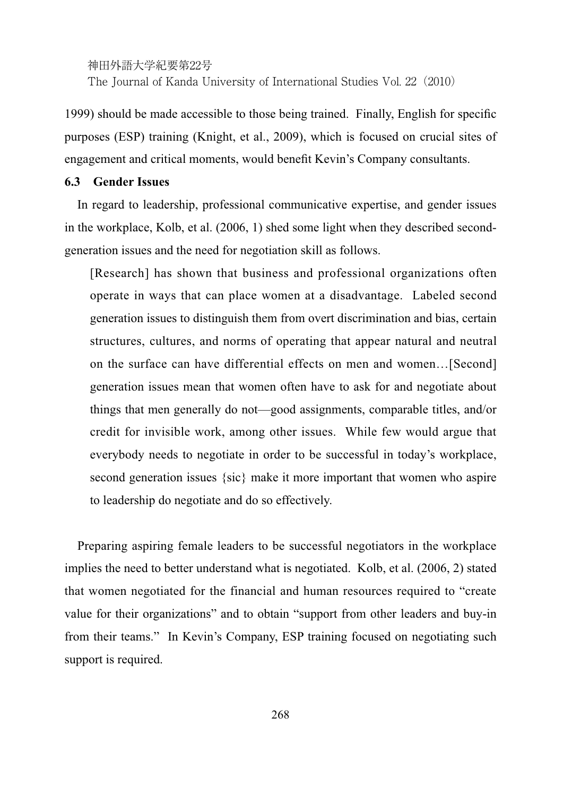The Journal of Kanda University of International Studies Vol. 22 (2010)

1999) should be made accessible to those being trained. Finally, English for specific purposes (ESP) training (Knight, et al., 2009), which is focused on crucial sites of engagement and critical moments, would benefit Kevin's Company consultants.

### **6.3 Gender Issues**

In regard to leadership, professional communicative expertise, and gender issues in the workplace, Kolb, et al. (2006, 1) shed some light when they described secondgeneration issues and the need for negotiation skill as follows.

[Research] has shown that business and professional organizations often operate in ways that can place women at a disadvantage. Labeled second generation issues to distinguish them from overt discrimination and bias, certain structures, cultures, and norms of operating that appear natural and neutral on the surface can have differential effects on men and women...[Second] generation issues mean that women often have to ask for and negotiate about things that men generally do not—good assignments, comparable titles, and/or credit for invisible work, among other issues. While few would argue that everybody needs to negotiate in order to be successful in today's workplace, second generation issues {sic} make it more important that women who aspire to leadership do negotiate and do so effectively.

Preparing aspiring female leaders to be successful negotiators in the workplace implies the need to better understand what is negotiated. Kolb, et al. (2006, 2) stated that women negotiated for the financial and human resources required to "create value for their organizations" and to obtain "support from other leaders and buy-in from their teams." In Kevin's Company, ESP training focused on negotiating such support is required.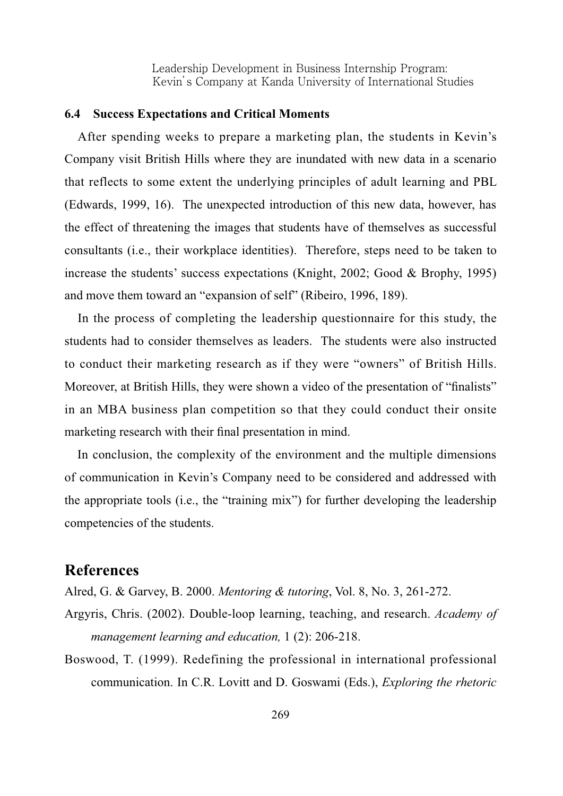#### **6.4 Success Expectations and Critical Moments**

After spending weeks to prepare a marketing plan, the students in Kevin's Company visit British Hills where they are inundated with new data in a scenario that reflects to some extent the underlying principles of adult learning and PBL (Edwards, 1999, 16). The unexpected introduction of this new data, however, has the effect of threatening the images that students have of themselves as successful consultants (i.e., their workplace identities). Therefore, steps need to be taken to increase the students' success expectations (Knight, 2002; Good & Brophy, 1995) and move them toward an "expansion of self" (Ribeiro, 1996, 189).

In the process of completing the leadership questionnaire for this study, the students had to consider themselves as leaders. The students were also instructed to conduct their marketing research as if they were "owners" of British Hills. Moreover, at British Hills, they were shown a video of the presentation of "finalists" in an MBA business plan competition so that they could conduct their onsite marketing research with their final presentation in mind.

In conclusion, the complexity of the environment and the multiple dimensions of communication in Kevin's Company need to be considered and addressed with the appropriate tools (i.e., the "training mix") for further developing the leadership competencies of the students.

# **References**

Alred, G. & Garvey, B. 2000. *Mentoring & tutoring*, Vol. 8, No. 3, 261-272.

- Argyris, Chris. (2002). Double-loop learning, teaching, and research. Academy of *management learning and education,* 1 (2): 206-218.
- Boswood, T. (1999). Redefining the professional in international professional communication. In C.R. Lovitt and D. Goswami (Eds.), *Exploring the rhetoric*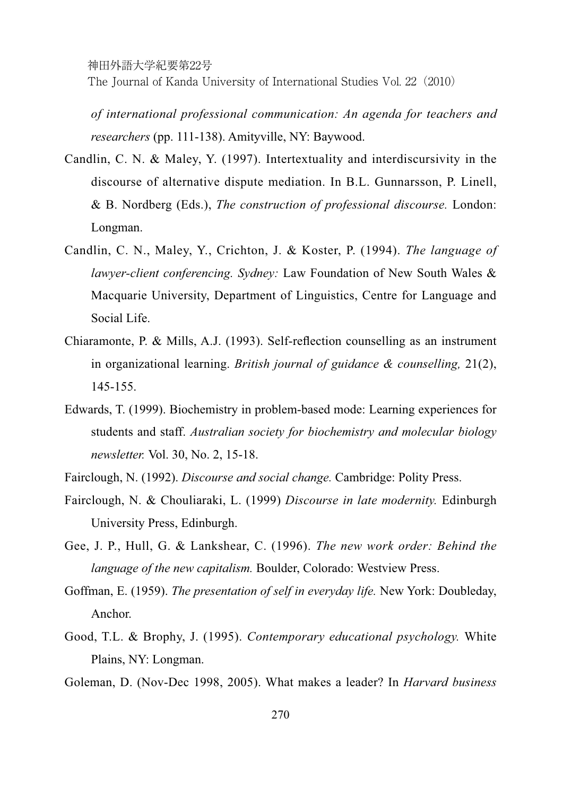The Journal of Kanda University of International Studies Vol. 22 (2010)

*of international professional communication: An agenda for teachers and researchers* (pp. 111-138). Amityville, NY: Baywood.

- Candlin, C. N. & Maley, Y. (1997). Intertextuality and interdiscursivity in the discourse of alternative dispute mediation. In B.L. Gunnarsson, P. Linell,  $&$  B. Nordberg (Eds.), *The construction of professional discourse*. London: Longman.
- Candlin, C. N., Maley, Y., Crichton, J. & Koster, P. (1994). The language of *lawyer-client conferencing. Sydney:* Law Foundation of New South Wales & Macquarie University, Department of Linguistics, Centre for Language and Social Life.
- Chiaramonte, P. & Mills, A.J. (1993). Self-reflection counselling as an instrument in organizational learning. *British journal of guidance & counselling*, 21(2), 145-155.
- Edwards, T. (1999). Biochemistry in problem-based mode: Learning experiences for students and staff. *Australian society for biochemistry and molecular biology newsletter.* Vol. 30, No. 2, 15-18.
- Fairclough, N. (1992). *Discourse and social change*. Cambridge: Polity Press.
- Fairclough, N. & Chouliaraki, L. (1999) *Discourse in late modernity*. Edinburgh University Press, Edinburgh.
- Gee, J. P., Hull, G. & Lankshear, C. (1996). The new work order: Behind the *language of the new capitalism.* Boulder, Colorado: Westview Press.
- Goffman, E. (1959). The presentation of self in everyday life. New York: Doubleday, Anchor.
- Good, T.L. & Brophy, J. (1995). *Contemporary educational psychology*. White Plains, NY: Longman.
- Goleman, D. (Nov-Dec 1998, 2005). What makes a leader? In *Harvard business*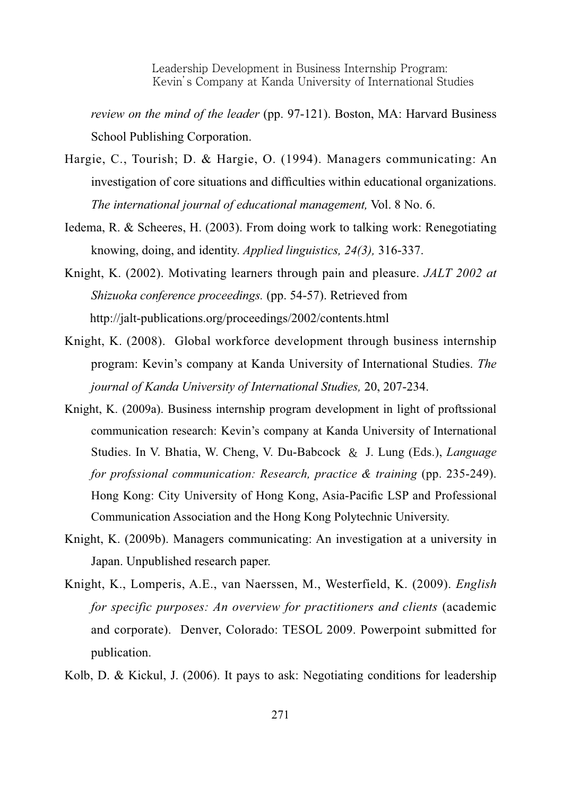*review on the mind of the leader* (pp. 97-121). Boston, MA: Harvard Business School Publishing Corporation.

- Hargie, C., Tourish; D. & Hargie, O. (1994). Managers communicating: An investigation of core situations and difficulties within educational organizations. *The international journal of educational management, Vol. 8 No. 6.*
- Iedema, R. & Scheeres, H. (2003). From doing work to talking work: Renegotiating knowing, doing, and identity. *Applied linguistics, 24(3),* 316-337.
- Knight, K. (2002). Motivating learners through pain and pleasure. *JALT 2002 at Shizuoka conference proceedings.* (pp. 54-57). Retrieved from http://jalt-publications.org/proceedings/2002/contents.html
- Knight, K. (2008). Global workforce development through business internship program: Kevin's company at Kanda University of International Studies. *The journal of Kanda University of International Studies,* 20, 207-234.
- Knight, K. (2009a). Business internship program development in light of proftssional communication research: Kevin's company at Kanda University of International Studies. In V. Bhatia, W. Cheng, V. Du-Babcock & J. Lung (Eds.), *Language for profssional communication: Research, practice & training* (pp. 235-249). Hong Kong: City University of Hong Kong, Asia-Pacific LSP and Professional Communication Association and the Hong Kong Polytechnic University.
- Knight, K. (2009b). Managers communicating: An investigation at a university in Japan. Unpublished research paper.
- Knight, K., Lomperis, A.E., van Naerssen, M., Westerfield, K. (2009). *English for specific purposes: An overview for practitioners and clients* (academic and corporate). Denver, Colorado: TESOL 2009. Powerpoint submitted for publication.

Kolb, D. & Kickul, J. (2006). It pays to ask: Negotiating conditions for leadership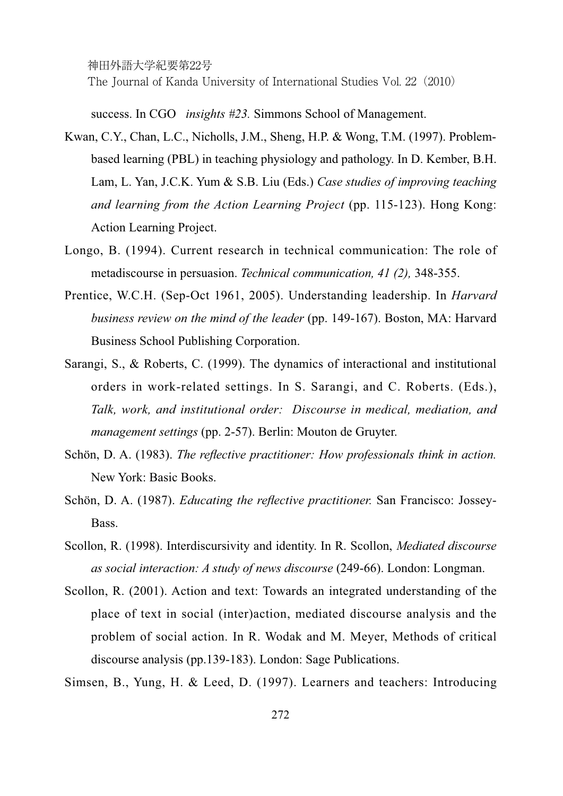神田外語大学紀要第22号 The Journal of Kanda University of International Studies Vol. 22 (2010)

success. In CGO *insights #23*. Simmons School of Management.

- Kwan, C.Y., Chan, L.C., Nicholls, J.M., Sheng, H.P. & Wong, T.M. (1997). Problembased learning (PBL) in teaching physiology and pathology. In D. Kember, B.H. Lam, L. Yan, J.C.K. Yum & S.B. Liu (Eds.) Case studies of improving teaching *and learning from the Action Learning Project* (pp. 115-123). Hong Kong: Action Learning Project.
- Longo, B. (1994). Current research in technical communication: The role of metadiscourse in persuasion. *Technical communication, 41 (2),* 348-355.
- Prentice, W.C.H. (Sep-Oct 1961, 2005). Understanding leadership. In *Harvard business review on the mind of the leader* (pp. 149-167). Boston, MA: Harvard Business School Publishing Corporation.
- Sarangi, S., & Roberts, C. (1999). The dynamics of interactional and institutional orders in work-related settings. In S. Sarangi, and C. Roberts. (Eds.), *Talk, work, and institutional order: Discourse in medical, mediation, and management settings* (pp. 2-57). Berlin: Mouton de Gruyter.
- Schön, D. A. (1983). The reflective practitioner: How professionals think in action. New York: Basic Books.
- Schön, D. A. (1987). *Educating the reflective practitioner*. San Francisco: Jossey-Bass.
- Scollon, R. (1998). Interdiscursivity and identity. In R. Scollon, *Mediated discourse as social interaction: A study of news discourse* (249-66). London: Longman.
- Scollon, R. (2001). Action and text: Towards an integrated understanding of the place of text in social (inter)action, mediated discourse analysis and the problem of social action. In R. Wodak and M. Meyer, Methods of critical discourse analysis (pp.139-183). London: Sage Publications.

Simsen, B., Yung, H. & Leed, D. (1997). Learners and teachers: Introducing